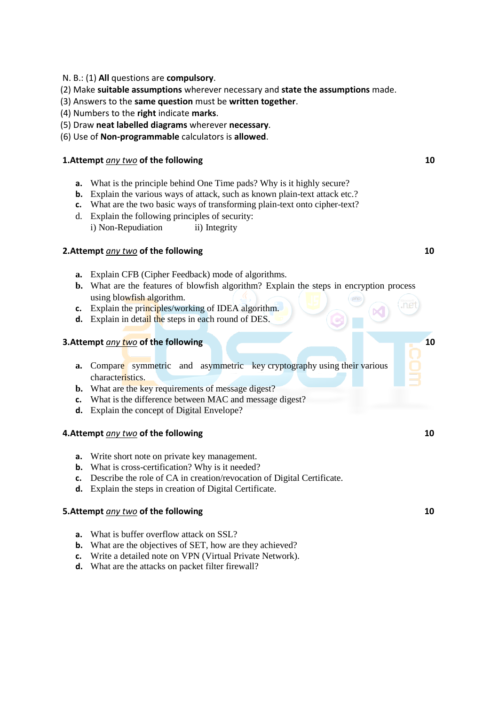- N. B.: (1) **All** questions are **compulsory**.
- (2) Make **suitable assumptions** wherever necessary and **state the assumptions** made.
- (3) Answers to the **same question** must be **written together**.
- (4) Numbers to the **right** indicate **marks**.
- (5) Draw **neat labelled diagrams** wherever **necessary**.
- (6) Use of **Non-programmable** calculators is **allowed**.

### **1.Attempt** *any two* of the following 10

- **a.** What is the principle behind One Time pads? Why is it highly secure?
- **b.** Explain the various ways of attack, such as known plain-text attack etc.?
- **c.** What are the two basic ways of transforming plain-text onto cipher-text?
- d. Explain the following principles of security: i) Non-Repudiation ii) Integrity

#### **2.Attempt** *any two* **of the following 10 and 10 and 10 and 10 and 10 and 10 and 10 and 10 and 10 and 10 and 10 and 10 and 10 and 10 and 10 and 10 and 10 and 10 and 10 and 10 and 10 and 10 and 10 and 10 and 10 and 10 and 10**

- **a.** Explain CFB (Cipher Feedback) mode of algorithms.
- **b.** What are the features of blowfish algorithm? Explain the steps in encryption process using blowfish algorithm.
- **c.** Explain the principles/working of IDEA algorithm.
- **d.** Explain in detail the steps in each round of DES.

## **3.Attempt** *any* **two of the following 10 and 10 and 10 and 10 and 10 and 10 and 10 and 10 and 10 and 10**

- **a.** Compare symmetric and asymmetric key cryptography using their various characteristics.
- **b.** What are the key requirements of message digest?
- **c.** What is the difference between MAC and message digest?
- **d.** Explain the concept of Digital Envelope?

#### **4.Attempt** *any two* **of the following 10 10**

- **a.** Write short note on private key management.
- **b.** What is cross-certification? Why is it needed?
- **c.** Describe the role of CA in creation/revocation of Digital Certificate.
- **d.** Explain the steps in creation of Digital Certificate.

#### **5.Attempt** *any two* **of the following 10 and 10 and 10 and 10 and 10 and 10 and 10 and 10 and 10 and 10**

- **a.** What is buffer overflow attack on SSL?
- **b.** What are the objectives of SET, how are they achieved?
- **c.** Write a detailed note on VPN (Virtual Private Network).
- **d.** What are the attacks on packet filter firewall?